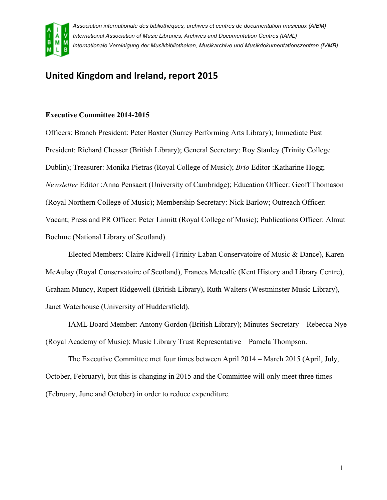

# **United Kingdom and Ireland, report 2015**

# **Executive Committee 2014-2015**

Officers: Branch President: Peter Baxter (Surrey Performing Arts Library); Immediate Past President: Richard Chesser (British Library); General Secretary: Roy Stanley (Trinity College Dublin); Treasurer: Monika Pietras (Royal College of Music); *Brio* Editor :Katharine Hogg; *Newsletter* Editor :Anna Pensaert (University of Cambridge); Education Officer: Geoff Thomason (Royal Northern College of Music); Membership Secretary: Nick Barlow; Outreach Officer: Vacant; Press and PR Officer: Peter Linnitt (Royal College of Music); Publications Officer: Almut Boehme (National Library of Scotland).

Elected Members: Claire Kidwell (Trinity Laban Conservatoire of Music & Dance), Karen McAulay (Royal Conservatoire of Scotland), Frances Metcalfe (Kent History and Library Centre), Graham Muncy, Rupert Ridgewell (British Library), Ruth Walters (Westminster Music Library), Janet Waterhouse (University of Huddersfield).

IAML Board Member: Antony Gordon (British Library); Minutes Secretary – Rebecca Nye (Royal Academy of Music); Music Library Trust Representative – Pamela Thompson.

The Executive Committee met four times between April 2014 – March 2015 (April, July, October, February), but this is changing in 2015 and the Committee will only meet three times (February, June and October) in order to reduce expenditure.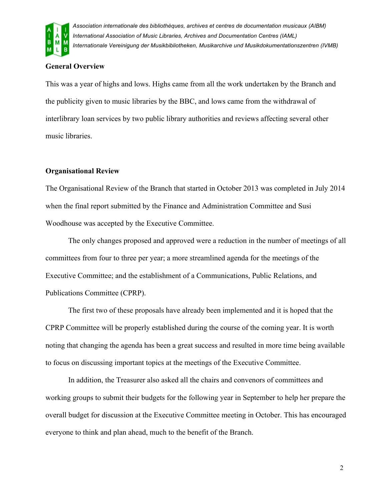

# **General Overview**

This was a year of highs and lows. Highs came from all the work undertaken by the Branch and the publicity given to music libraries by the BBC, and lows came from the withdrawal of interlibrary loan services by two public library authorities and reviews affecting several other music libraries.

# **Organisational Review**

The Organisational Review of the Branch that started in October 2013 was completed in July 2014 when the final report submitted by the Finance and Administration Committee and Susi Woodhouse was accepted by the Executive Committee.

The only changes proposed and approved were a reduction in the number of meetings of all committees from four to three per year; a more streamlined agenda for the meetings of the Executive Committee; and the establishment of a Communications, Public Relations, and Publications Committee (CPRP).

The first two of these proposals have already been implemented and it is hoped that the CPRP Committee will be properly established during the course of the coming year. It is worth noting that changing the agenda has been a great success and resulted in more time being available to focus on discussing important topics at the meetings of the Executive Committee.

In addition, the Treasurer also asked all the chairs and convenors of committees and working groups to submit their budgets for the following year in September to help her prepare the overall budget for discussion at the Executive Committee meeting in October. This has encouraged everyone to think and plan ahead, much to the benefit of the Branch.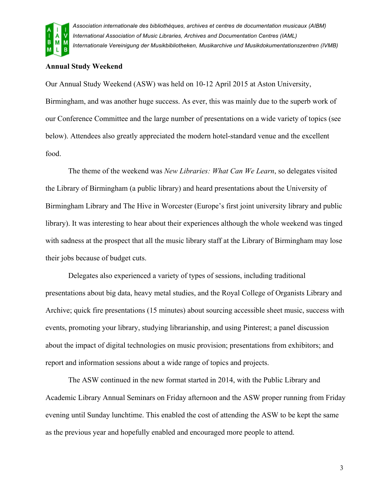

# **Annual Study Weekend**

Our Annual Study Weekend (ASW) was held on 10-12 April 2015 at Aston University, Birmingham, and was another huge success. As ever, this was mainly due to the superb work of our Conference Committee and the large number of presentations on a wide variety of topics (see below). Attendees also greatly appreciated the modern hotel-standard venue and the excellent food.

The theme of the weekend was *New Libraries: What Can We Learn*, so delegates visited the Library of Birmingham (a public library) and heard presentations about the University of Birmingham Library and The Hive in Worcester (Europe's first joint university library and public library). It was interesting to hear about their experiences although the whole weekend was tinged with sadness at the prospect that all the music library staff at the Library of Birmingham may lose their jobs because of budget cuts.

Delegates also experienced a variety of types of sessions, including traditional presentations about big data, heavy metal studies, and the Royal College of Organists Library and Archive; quick fire presentations (15 minutes) about sourcing accessible sheet music, success with events, promoting your library, studying librarianship, and using Pinterest; a panel discussion about the impact of digital technologies on music provision; presentations from exhibitors; and report and information sessions about a wide range of topics and projects.

The ASW continued in the new format started in 2014, with the Public Library and Academic Library Annual Seminars on Friday afternoon and the ASW proper running from Friday evening until Sunday lunchtime. This enabled the cost of attending the ASW to be kept the same as the previous year and hopefully enabled and encouraged more people to attend.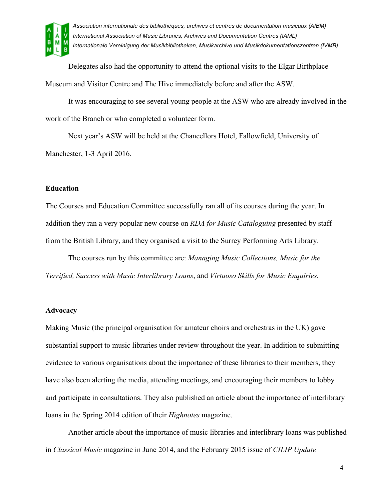

Delegates also had the opportunity to attend the optional visits to the Elgar Birthplace Museum and Visitor Centre and The Hive immediately before and after the ASW.

It was encouraging to see several young people at the ASW who are already involved in the work of the Branch or who completed a volunteer form.

Next year's ASW will be held at the Chancellors Hotel, Fallowfield, University of Manchester, 1-3 April 2016.

## **Education**

The Courses and Education Committee successfully ran all of its courses during the year. In addition they ran a very popular new course on *RDA for Music Cataloguing* presented by staff from the British Library, and they organised a visit to the Surrey Performing Arts Library.

The courses run by this committee are: *Managing Music Collections, Music for the Terrified, Success with Music Interlibrary Loans*, and *Virtuoso Skills for Music Enquiries.*

#### **Advocacy**

Making Music (the principal organisation for amateur choirs and orchestras in the UK) gave substantial support to music libraries under review throughout the year. In addition to submitting evidence to various organisations about the importance of these libraries to their members, they have also been alerting the media, attending meetings, and encouraging their members to lobby and participate in consultations. They also published an article about the importance of interlibrary loans in the Spring 2014 edition of their *Highnotes* magazine.

Another article about the importance of music libraries and interlibrary loans was published in *Classical Music* magazine in June 2014, and the February 2015 issue of *CILIP Update*

4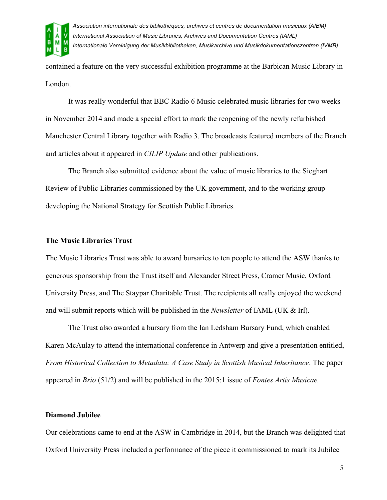

contained a feature on the very successful exhibition programme at the Barbican Music Library in London.

It was really wonderful that BBC Radio 6 Music celebrated music libraries for two weeks in November 2014 and made a special effort to mark the reopening of the newly refurbished Manchester Central Library together with Radio 3. The broadcasts featured members of the Branch and articles about it appeared in *CILIP Update* and other publications.

The Branch also submitted evidence about the value of music libraries to the Sieghart Review of Public Libraries commissioned by the UK government, and to the working group developing the National Strategy for Scottish Public Libraries.

## **The Music Libraries Trust**

The Music Libraries Trust was able to award bursaries to ten people to attend the ASW thanks to generous sponsorship from the Trust itself and Alexander Street Press, Cramer Music, Oxford University Press, and The Staypar Charitable Trust. The recipients all really enjoyed the weekend and will submit reports which will be published in the *Newsletter* of IAML (UK & Irl).

The Trust also awarded a bursary from the Ian Ledsham Bursary Fund, which enabled Karen McAulay to attend the international conference in Antwerp and give a presentation entitled, *From Historical Collection to Metadata: A Case Study in Scottish Musical Inheritance*. The paper appeared in *Brio* (51/2) and will be published in the 2015:1 issue of *Fontes Artis Musicae.*

#### **Diamond Jubilee**

Our celebrations came to end at the ASW in Cambridge in 2014, but the Branch was delighted that Oxford University Press included a performance of the piece it commissioned to mark its Jubilee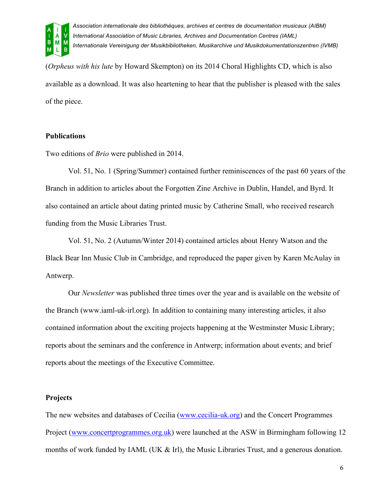

(*Orpheus with his lute* by Howard Skempton) on its 2014 Choral Highlights CD, which is also available as a download. It was also heartening to hear that the publisher is pleased with the sales of the piece.

# **Publications**

Two editions of *Brio* were published in 2014.

Vol. 51, No. 1 (Spring/Summer) contained further reminiscences of the past 60 years of the Branch in addition to articles about the Forgotten Zine Archive in Dublin, Handel, and Byrd. It also contained an article about dating printed music by Catherine Small, who received research funding from the Music Libraries Trust.

Vol. 51, No. 2 (Autumn/Winter 2014) contained articles about Henry Watson and the Black Bear Inn Music Club in Cambridge, and reproduced the paper given by Karen McAulay in Antwerp.

Our *Newsletter* was published three times over the year and is available on the website of the Branch (www.iaml-uk-irl.org). In addition to containing many interesting articles, it also contained information about the exciting projects happening at the Westminster Music Library; reports about the seminars and the conference in Antwerp; information about events; and brief reports about the meetings of the Executive Committee.

## **Projects**

The new websites and databases of Cecilia (www.cecilia-uk.org) and the Concert Programmes Project (www.concertprogrammes.org.uk) were launched at the ASW in Birmingham following 12 months of work funded by IAML (UK  $\&$  Irl), the Music Libraries Trust, and a generous donation.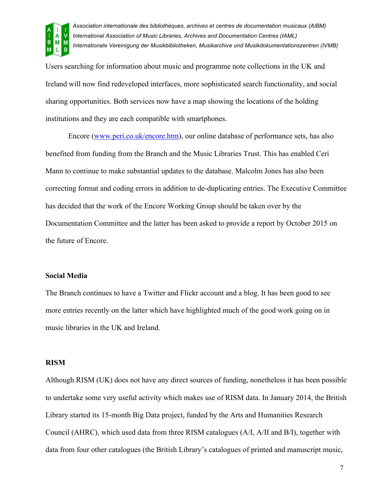

Users searching for information about music and programme note collections in the UK and Ireland will now find redeveloped interfaces, more sophisticated search functionality, and social sharing opportunities. Both services now have a map showing the locations of the holding institutions and they are each compatible with smartphones.

Encore (www.peri.co.uk/encore.htm), our online database of performance sets, has also benefited from funding from the Branch and the Music Libraries Trust. This has enabled Ceri Mann to continue to make substantial updates to the database. Malcolm Jones has also been correcting format and coding errors in addition to de-duplicating entries. The Executive Committee has decided that the work of the Encore Working Group should be taken over by the Documentation Committee and the latter has been asked to provide a report by October 2015 on the future of Encore.

#### **Social Media**

The Branch continues to have a Twitter and Flickr account and a blog. It has been good to see more entries recently on the latter which have highlighted much of the good work going on in music libraries in the UK and Ireland.

## **RISM**

Although RISM (UK) does not have any direct sources of funding, nonetheless it has been possible to undertake some very useful activity which makes use of RISM data. In January 2014, the British Library started its 15-month Big Data project, funded by the Arts and Humanities Research Council (AHRC), which used data from three RISM catalogues (A/I, A/II and B/I), together with data from four other catalogues (the British Library's catalogues of printed and manuscript music,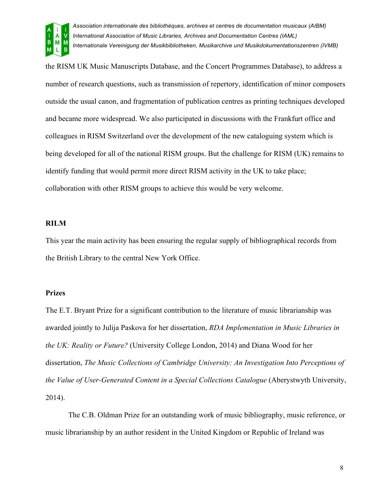

the RISM UK Music Manuscripts Database, and the Concert Programmes Database), to address a number of research questions, such as transmission of repertory, identification of minor composers outside the usual canon, and fragmentation of publication centres as printing techniques developed and became more widespread. We also participated in discussions with the Frankfurt office and colleagues in RISM Switzerland over the development of the new cataloguing system which is being developed for all of the national RISM groups. But the challenge for RISM (UK) remains to identify funding that would permit more direct RISM activity in the UK to take place; collaboration with other RISM groups to achieve this would be very welcome.

#### **RILM**

This year the main activity has been ensuring the regular supply of bibliographical records from the British Library to the central New York Office.

#### **Prizes**

The E.T. Bryant Prize for a significant contribution to the literature of music librarianship was awarded jointly to Julija Paskova for her dissertation, *RDA Implementation in Music Libraries in the UK: Reality or Future?* (University College London, 2014) and Diana Wood for her dissertation, *The Music Collections of Cambridge University: An Investigation Into Perceptions of the Value of User-Generated Content in a Special Collections Catalogue* (Aberystwyth University, 2014).

The C.B. Oldman Prize for an outstanding work of music bibliography, music reference, or music librarianship by an author resident in the United Kingdom or Republic of Ireland was